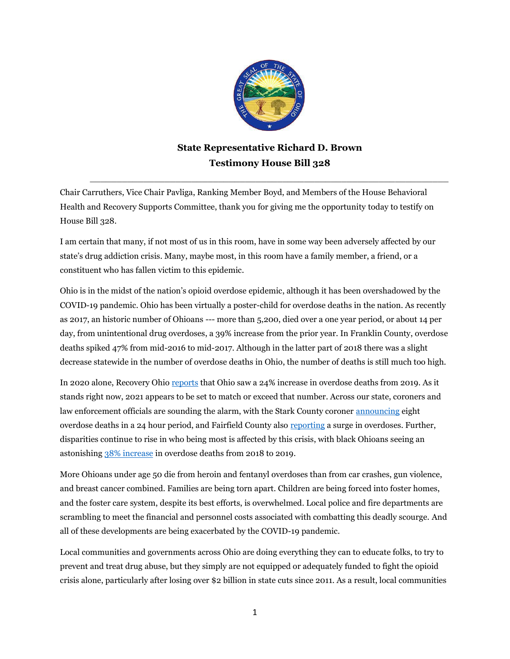

## **State Representative Richard D. Brown Testimony House Bill 328**

 $\_$  ,  $\_$  ,  $\_$  ,  $\_$  ,  $\_$  ,  $\_$  ,  $\_$  ,  $\_$  ,  $\_$  ,  $\_$  ,  $\_$  ,  $\_$  ,  $\_$  ,  $\_$  ,  $\_$  ,  $\_$  ,  $\_$  ,  $\_$  ,  $\_$  ,  $\_$ 

Chair Carruthers, Vice Chair Pavliga, Ranking Member Boyd, and Members of the House Behavioral Health and Recovery Supports Committee, thank you for giving me the opportunity today to testify on House Bill 328.

I am certain that many, if not most of us in this room, have in some way been adversely affected by our state's drug addiction crisis. Many, maybe most, in this room have a family member, a friend, or a constituent who has fallen victim to this epidemic.

Ohio is in the midst of the nation's opioid overdose epidemic, although it has been overshadowed by the COVID-19 pandemic. Ohio has been virtually a poster-child for overdose deaths in the nation. As recently as 2017, an historic number of Ohioans --- more than 5,200, died over a one year period, or about 14 per day, from unintentional drug overdoses, a 39% increase from the prior year. In Franklin County, overdose deaths spiked 47% from mid-2016 to mid-2017. Although in the latter part of 2018 there was a slight decrease statewide in the number of overdose deaths in Ohio, the number of deaths is still much too high.

In 2020 alone, Recovery Ohio [reports](https://www.valdostadailytimes.com/news/business/as-overdose-deaths-set-new-record-in-ohio-spero-health-responds-with-opening-of-a/article_d063bac9-cfd7-5991-872f-aad2ca972ffd.html) that Ohio saw a 24% increase in overdose deaths from 2019. As it stands right now, 2021 appears to be set to match or exceed that number. Across our state, coroners and law enforcement officials are sounding the alarm, with the Stark County coroner [announcing](https://www.cantonrep.com/story/news/2021/09/16/stark-ohio-eight-overdose-24-hours-2021/8368854002/) eight overdose deaths in a 24 hour period, and Fairfield County als[o reporting](https://abc6onyourside.com/news/local/fairfield-county-coroners-office-seeing-surge-in-overdose-deaths-9-9-2021) a surge in overdoses. Further, disparities continue to rise in who being most is affected by this crisis, with black Ohioans seeing an astonishin[g 38% increase](https://www.nih.gov/news-events/news-releases/disparities-opioid-overdose-deaths-continue-worsen-black-people-study-suggests) in overdose deaths from 2018 to 2019.

More Ohioans under age 50 die from heroin and fentanyl overdoses than from car crashes, gun violence, and breast cancer combined. Families are being torn apart. Children are being forced into foster homes, and the foster care system, despite its best efforts, is overwhelmed. Local police and fire departments are scrambling to meet the financial and personnel costs associated with combatting this deadly scourge. And all of these developments are being exacerbated by the COVID-19 pandemic.

Local communities and governments across Ohio are doing everything they can to educate folks, to try to prevent and treat drug abuse, but they simply are not equipped or adequately funded to fight the opioid crisis alone, particularly after losing over \$2 billion in state cuts since 2011. As a result, local communities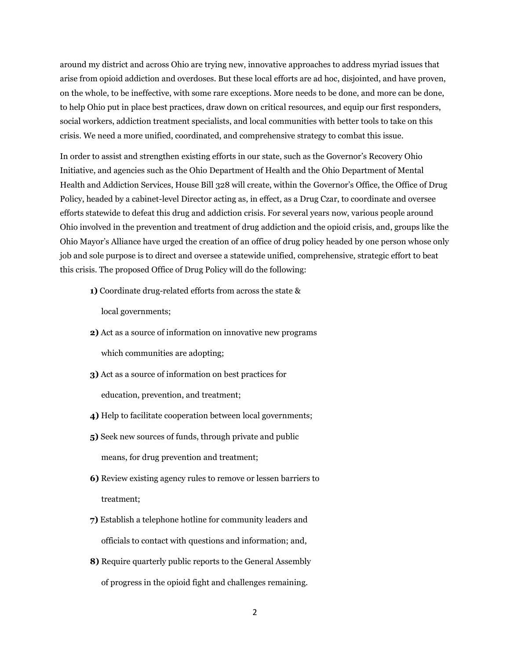around my district and across Ohio are trying new, innovative approaches to address myriad issues that arise from opioid addiction and overdoses. But these local efforts are ad hoc, disjointed, and have proven, on the whole, to be ineffective, with some rare exceptions. More needs to be done, and more can be done, to help Ohio put in place best practices, draw down on critical resources, and equip our first responders, social workers, addiction treatment specialists, and local communities with better tools to take on this crisis. We need a more unified, coordinated, and comprehensive strategy to combat this issue.

In order to assist and strengthen existing efforts in our state, such as the Governor's Recovery Ohio Initiative, and agencies such as the Ohio Department of Health and the Ohio Department of Mental Health and Addiction Services, House Bill 328 will create, within the Governor's Office, the Office of Drug Policy, headed by a cabinet-level Director acting as, in effect, as a Drug Czar, to coordinate and oversee efforts statewide to defeat this drug and addiction crisis. For several years now, various people around Ohio involved in the prevention and treatment of drug addiction and the opioid crisis, and, groups like the Ohio Mayor's Alliance have urged the creation of an office of drug policy headed by one person whose only job and sole purpose is to direct and oversee a statewide unified, comprehensive, strategic effort to beat this crisis. The proposed Office of Drug Policy will do the following:

**1)** Coordinate drug-related efforts from across the state &

local governments;

- **2)** Act as a source of information on innovative new programs which communities are adopting;
- **3)** Act as a source of information on best practices for education, prevention, and treatment;
- **4)** Help to facilitate cooperation between local governments;
- **5)** Seek new sources of funds, through private and public means, for drug prevention and treatment;
- **6)** Review existing agency rules to remove or lessen barriers to treatment;
- **7)** Establish a telephone hotline for community leaders and officials to contact with questions and information; and,
- **8)** Require quarterly public reports to the General Assembly of progress in the opioid fight and challenges remaining.